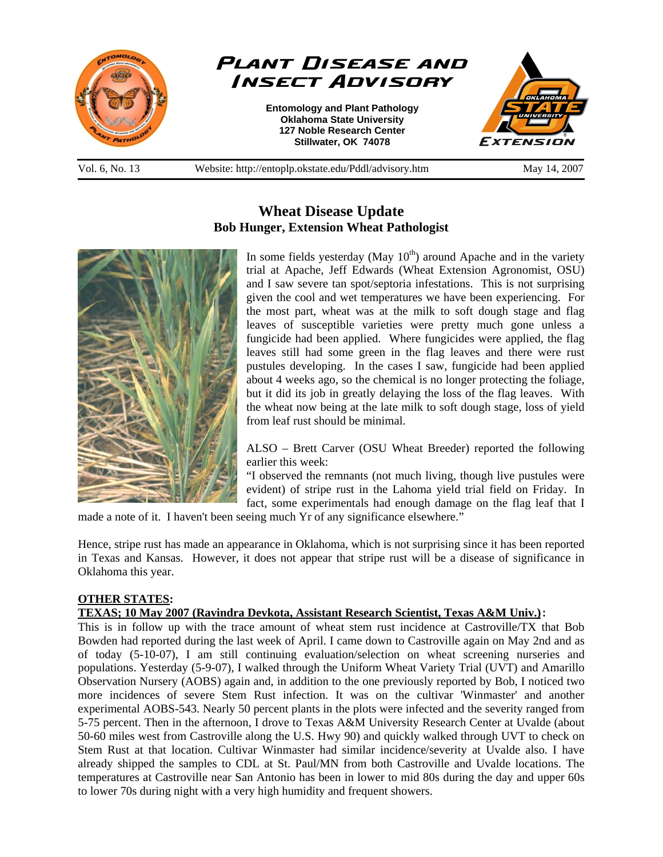

# **Wheat Disease Update Bob Hunger, Extension Wheat Pathologist**



In some fields yesterday (May  $10<sup>th</sup>$ ) around Apache and in the variety trial at Apache, Jeff Edwards (Wheat Extension Agronomist, OSU) and I saw severe tan spot/septoria infestations. This is not surprising given the cool and wet temperatures we have been experiencing. For the most part, wheat was at the milk to soft dough stage and flag leaves of susceptible varieties were pretty much gone unless a fungicide had been applied. Where fungicides were applied, the flag leaves still had some green in the flag leaves and there were rust pustules developing. In the cases I saw, fungicide had been applied about 4 weeks ago, so the chemical is no longer protecting the foliage, but it did its job in greatly delaying the loss of the flag leaves. With the wheat now being at the late milk to soft dough stage, loss of yield from leaf rust should be minimal.

ALSO – Brett Carver (OSU Wheat Breeder) reported the following earlier this week:

"I observed the remnants (not much living, though live pustules were evident) of stripe rust in the Lahoma yield trial field on Friday. In fact, some experimentals had enough damage on the flag leaf that I

made a note of it. I haven't been seeing much Yr of any significance elsewhere."

Hence, stripe rust has made an appearance in Oklahoma, which is not surprising since it has been reported in Texas and Kansas. However, it does not appear that stripe rust will be a disease of significance in Oklahoma this year.

## **OTHER STATES:**

# **TEXAS; 10 May 2007 (Ravindra Devkota, Assistant Research Scientist, Texas A&M Univ.):**

This is in follow up with the trace amount of wheat stem rust incidence at Castroville/TX that Bob Bowden had reported during the last week of April. I came down to Castroville again on May 2nd and as of today (5-10-07), I am still continuing evaluation/selection on wheat screening nurseries and populations. Yesterday (5-9-07), I walked through the Uniform Wheat Variety Trial (UVT) and Amarillo Observation Nursery (AOBS) again and, in addition to the one previously reported by Bob, I noticed two more incidences of severe Stem Rust infection. It was on the cultivar 'Winmaster' and another experimental AOBS-543. Nearly 50 percent plants in the plots were infected and the severity ranged from 5-75 percent. Then in the afternoon, I drove to Texas A&M University Research Center at Uvalde (about 50-60 miles west from Castroville along the U.S. Hwy 90) and quickly walked through UVT to check on Stem Rust at that location. Cultivar Winmaster had similar incidence/severity at Uvalde also. I have already shipped the samples to CDL at St. Paul/MN from both Castroville and Uvalde locations. The temperatures at Castroville near San Antonio has been in lower to mid 80s during the day and upper 60s to lower 70s during night with a very high humidity and frequent showers.